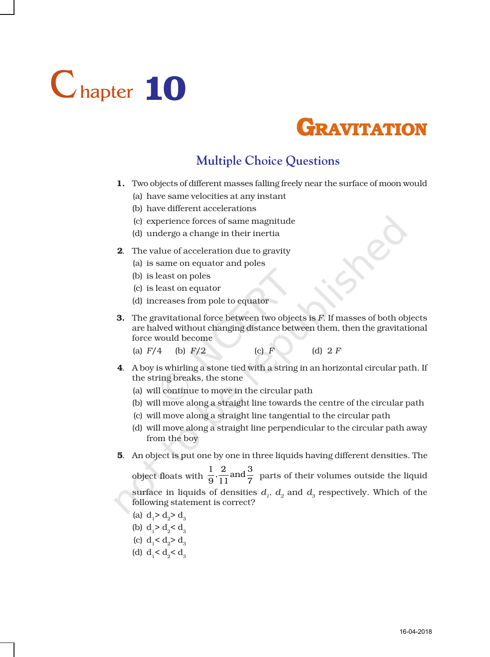## Chapter 10



## **Multiple Choice Questions**

- 1. Two objects of different masses falling freely near the surface of moon would
	- (a) have same velocities at any instant
	- (b) have different accelerations
	- (c) experience forces of same magnitude
	- (d) undergo a change in their inertia
- 2. The value of acceleration due to gravity
	- (a) is same on equator and poles
	- (b) is least on poles
	- (c) is least on equator
	- (d) increases from pole to equator
- 3. The gravitational force between two objects is *F*. If masses of both objects are halved without changing distance between them, then the gravitational force would become
	- (a)  $F/4$  (b)  $F/2$  (c)  $F$  (d)  $2 F$
- 4. A boy is whirling a stone tied with a string in an horizontal circular path. If the string breaks, the stone
	- (a) will continue to move in the circular path
	- (b) will move along a straight line towards the centre of the circular path
	- (c) will move along a straight line tangential to the circular path
	- (d) will move along a straight line perpendicular to the circular path away from the boy
- 5. An object is put one by one in three liquids having different densities. The

object floats with  $\frac{1}{9}$ ,  $\frac{2}{11}$  and  $\frac{3}{7}$  parts of their volumes outside the liquid surface in liquids of densities  $d_1$ ,  $d_2$  and  $d_3$  respectively. Which of the following statement is correct?

- (a)  $d_2 > d_3 > d_3$
- (b)  $d_1 > d_2 < d_3$
- (c)  $d_1 < d_2 > d_3$
- (d)  $d_1 < d_2 < d_3$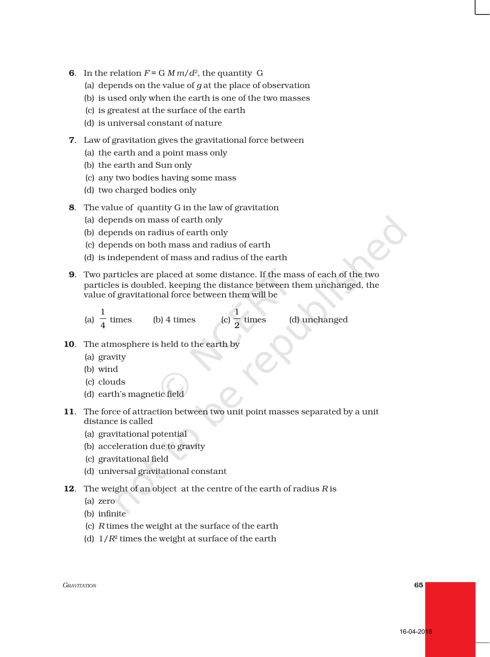- **6.** In the relation  $F = G M m/d^2$ , the quantity G
	- (a) depends on the value of *g* at the place of observation
	- (b) is used only when the earth is one of the two masses
	- (c) is greatest at the surface of the earth
	- (d) is universal constant of nature
- 7. Law of gravitation gives the gravitational force between
	- (a) the earth and a point mass only
	- (b) the earth and Sun only
	- (c) any two bodies having some mass
	- (d) two charged bodies only
- 8. The value of quantity G in the law of gravitation
	- (a) depends on mass of earth only
	- (b) depends on radius of earth only
	- (c) depends on both mass and radius of earth

 $(b)$  4 times

- (d) is independent of mass and radius of the earth
- 9. Two particles are placed at some distance. If the mass of each of the two particles is doubled, keeping the distance between them unchanged, the value of gravitational force between them will be
	- (a) 1 4

(c)  $\frac{1}{2}$  times

(d) unchanged

- 10. The atmosphere is held to the earth by
	- (a) gravity
	- (b) wind
	- (c) clouds
	- (d) earth's magnetic field
- 11. The force of attraction between two unit point masses separated by a unit distance is called
	- (a) gravitational potential
	- (b) acceleration due to gravity
	- (c) gravitational field
	- (d) universal gravitational constant
- 12. The weight of an object at the centre of the earth of radius *R* is
	- (a) zero
	- (b) infinite
	- (c) *R* times the weight at the surface of the earth
	- (d) 1/*R*2 times the weight at surface of the earth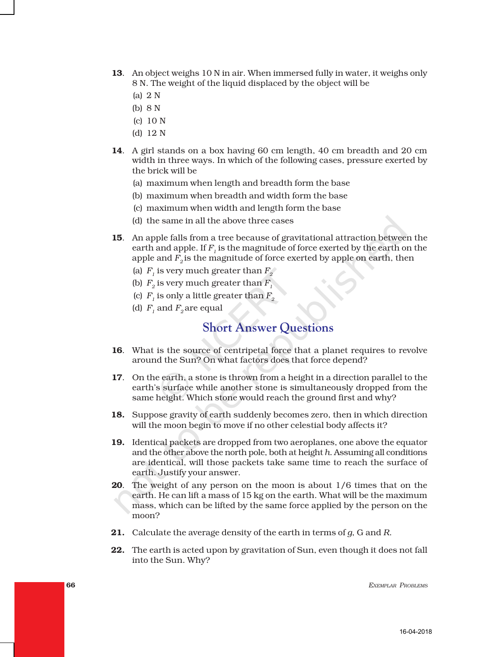- 13. An object weighs 10 N in air. When immersed fully in water, it weighs only 8 N. The weight of the liquid displaced by the object will be
	- (a) 2 N
	- (b) 8 N
	- (c) 10 N
	- (d) 12 N
- 14. A girl stands on a box having 60 cm length, 40 cm breadth and 20 cm width in three ways. In which of the following cases, pressure exerted by the brick will be
	- (a) maximum when length and breadth form the base
	- (b) maximum when breadth and width form the base
	- (c) maximum when width and length form the base
	- (d) the same in all the above three cases
- 15. An apple falls from a tree because of gravitational attraction between the earth and apple. If  $F<sub>i</sub>$  is the magnitude of force exerted by the earth on the apple and  $F<sub>2</sub>$  is the magnitude of force exerted by apple on earth, then
	- (a)  $F<sub>i</sub>$  is very much greater than  $F<sub>2</sub>$ <sup>2</sup>
	- (b)  $F<sub>2</sub>$  is very much greater than  $F<sub>1</sub>$
	- (c)  $F_1$  is only a little greater than  $F_2$
	- (d)  $F_1$  and  $F_2$  are equal

## **Short Answer Questions**

- 16. What is the source of centripetal force that a planet requires to revolve around the Sun? On what factors does that force depend?
- 17. On the earth, a stone is thrown from a height in a direction parallel to the earth's surface while another stone is simultaneously dropped from the same height. Which stone would reach the ground first and why?
- 18. Suppose gravity of earth suddenly becomes zero, then in which direction will the moon begin to move if no other celestial body affects it?
- 19. Identical packets are dropped from two aeroplanes, one above the equator and the other above the north pole, both at height *h*. Assuming all conditions are identical, will those packets take same time to reach the surface of earth. Justify your answer.
- 20. The weight of any person on the moon is about 1/6 times that on the earth. He can lift a mass of 15 kg on the earth. What will be the maximum mass, which can be lifted by the same force applied by the person on the moon?
- 21. Calculate the average density of the earth in terms of *g*, G and *R*.
- 22. The earth is acted upon by gravitation of Sun, even though it does not fall into the Sun. Why?